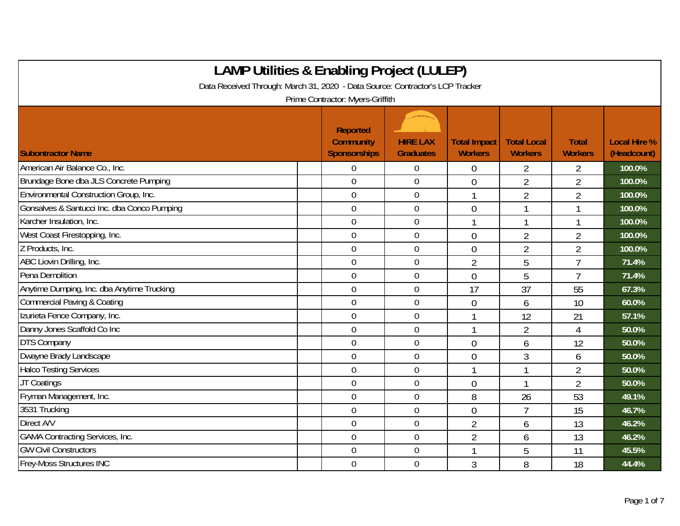| <b>LAMP Utilities &amp; Enabling Project (LULEP)</b>                          |                                                            |                                     |                                       |                                      |                                |                                    |  |  |  |
|-------------------------------------------------------------------------------|------------------------------------------------------------|-------------------------------------|---------------------------------------|--------------------------------------|--------------------------------|------------------------------------|--|--|--|
| Data Received Through: March 31, 2020 - Data Source: Contractor's LCP Tracker |                                                            |                                     |                                       |                                      |                                |                                    |  |  |  |
|                                                                               | Prime Contractor: Myers-Griffith                           |                                     |                                       |                                      |                                |                                    |  |  |  |
| <b>Subontractor Name</b>                                                      | <b>Reported</b><br><b>Community</b><br><b>Sponsorships</b> | <b>HIRE LAX</b><br><b>Graduates</b> | <b>Total Impact</b><br><b>Workers</b> | <b>Total Local</b><br><b>Workers</b> | <b>Total</b><br><b>Workers</b> | <b>Local Hire %</b><br>(Headcount) |  |  |  |
| American Air Balance Co., Inc.                                                | $\overline{0}$                                             | $\theta$                            | $\overline{0}$                        | 2                                    | 2                              | 100.0%                             |  |  |  |
| Brundage Bone dba JLS Concrete Pumping                                        | $\overline{0}$                                             | $\overline{0}$                      | $\overline{0}$                        | $\overline{2}$                       | $\overline{2}$                 | 100.0%                             |  |  |  |
| Environmental Construction Group, Inc.                                        | $\overline{0}$                                             | $\overline{0}$                      | 1                                     | $\overline{2}$                       | $\overline{2}$                 | 100.0%                             |  |  |  |
| Gonsalves & Santucci Inc. dba Conco Pumping                                   | $\mathbf 0$                                                | $\mathbf 0$                         | $\overline{0}$                        |                                      | 1                              | 100.0%                             |  |  |  |
| Karcher Insulation, Inc.                                                      | $\mathbf 0$                                                | $\mathbf 0$                         | $\mathbf{1}$                          | $\overline{1}$                       | $\mathbf{1}$                   | 100.0%                             |  |  |  |
| West Coast Firestopping, Inc.                                                 | $\boldsymbol{0}$                                           | $\boldsymbol{0}$                    | $\overline{0}$                        | $\overline{2}$                       | $\overline{2}$                 | 100.0%                             |  |  |  |
| Z Products, Inc.                                                              | $\mathbf 0$                                                | $\overline{0}$                      | $\overline{0}$                        | $\overline{2}$                       | $\overline{2}$                 | 100.0%                             |  |  |  |
| ABC Liovin Drilling, Inc.                                                     | $\mathbf 0$                                                | $\mathbf 0$                         | $\overline{2}$                        | 5                                    | $\overline{7}$                 | 71.4%                              |  |  |  |
| Pena Demolition                                                               | $\Omega$                                                   | $\overline{0}$                      | $\Omega$                              | 5                                    | $\overline{1}$                 | 71.4%                              |  |  |  |
| Anytime Dumping, Inc. dba Anytime Trucking                                    | $\overline{0}$                                             | $\overline{0}$                      | 17                                    | 37                                   | 55                             | 67.3%                              |  |  |  |
| <b>Commercial Paving &amp; Coating</b>                                        | $\mathbf 0$                                                | $\mathbf 0$                         | $\overline{0}$                        | 6                                    | 10                             | 60.0%                              |  |  |  |
| Izurieta Fence Company, Inc.                                                  | $\mathbf 0$                                                | $\overline{0}$                      | $\mathbf 1$                           | 12                                   | 21                             | 57.1%                              |  |  |  |
| Danny Jones Scaffold Co Inc                                                   | $\overline{0}$                                             | $\overline{0}$                      | $\mathbf{1}$                          | $\overline{2}$                       | $\overline{4}$                 | 50.0%                              |  |  |  |
| <b>DTS Company</b>                                                            | $\overline{0}$                                             | $\mathbf 0$                         | $\overline{0}$                        | 6                                    | 12                             | 50.0%                              |  |  |  |
| Dwayne Brady Landscape                                                        | $\mathbf 0$                                                | $\mathbf 0$                         | $\overline{0}$                        | $\overline{3}$                       | 6                              | 50.0%                              |  |  |  |
| <b>Halco Testing Services</b>                                                 | $\mathbf 0$                                                | $\mathbf 0$                         |                                       |                                      | $\overline{2}$                 | 50.0%                              |  |  |  |
| JT Coatings                                                                   | $\overline{0}$                                             | $\mathbf 0$                         | $\overline{0}$                        | 1                                    | $\overline{2}$                 | 50.0%                              |  |  |  |
| Fryman Management, Inc.                                                       | $\mathbf 0$                                                | $\mathbf 0$                         | 8                                     | 26                                   | 53                             | 49.1%                              |  |  |  |
| 3531 Trucking                                                                 | $\mathbf 0$                                                | $\mathbf 0$                         | $\overline{0}$                        | $\overline{7}$                       | 15                             | 46.7%                              |  |  |  |
| Direct A/V                                                                    | $\boldsymbol{0}$                                           | $\boldsymbol{0}$                    | $\overline{2}$                        | 6                                    | 13                             | 46.2%                              |  |  |  |
| <b>GAMA Contracting Services, Inc.</b>                                        | $\overline{0}$                                             | $\mathbf 0$                         | $\overline{2}$                        | 6                                    | 13                             | 46.2%                              |  |  |  |
| <b>GW Civil Constructors</b>                                                  | $\overline{0}$                                             | $\mathbf 0$                         |                                       | 5                                    | 11                             | 45.5%                              |  |  |  |
| Frey-Moss Structures INC                                                      | $\overline{0}$                                             | $\mathbf 0$                         | 3                                     | 8                                    | 18                             | 44.4%                              |  |  |  |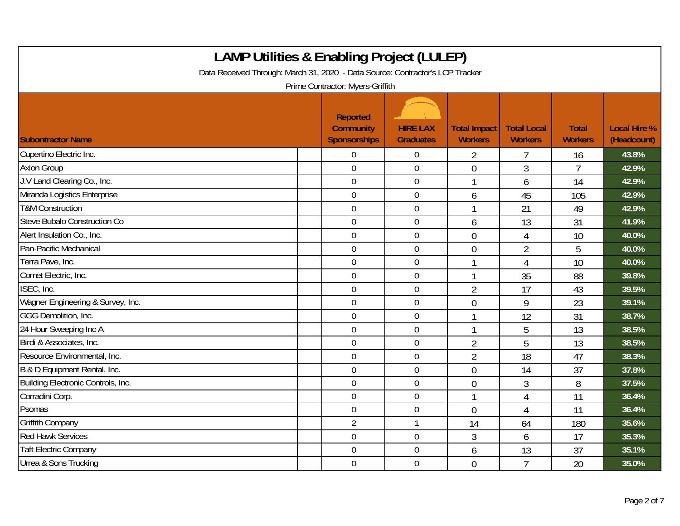| <b>LAMP Utilities &amp; Enabling Project (LULEP)</b><br>Data Received Through: March 31, 2020 - Data Source: Contractor's LCP Tracker |  |                                                            |                                     |                                       |                                      |                                |                                    |  |  |
|---------------------------------------------------------------------------------------------------------------------------------------|--|------------------------------------------------------------|-------------------------------------|---------------------------------------|--------------------------------------|--------------------------------|------------------------------------|--|--|
| Prime Contractor: Myers-Griffith                                                                                                      |  |                                                            |                                     |                                       |                                      |                                |                                    |  |  |
| <b>Subontractor Name</b>                                                                                                              |  | <b>Reported</b><br><b>Community</b><br><b>Sponsorships</b> | <b>HIRE LAX</b><br><b>Graduates</b> | <b>Total Impact</b><br><b>Workers</b> | <b>Total Local</b><br><b>Workers</b> | <b>Total</b><br><b>Workers</b> | <b>Local Hire %</b><br>(Headcount) |  |  |
| Cupertino Electric Inc.                                                                                                               |  | 0                                                          | $\boldsymbol{0}$                    | $\overline{2}$                        | 7                                    | 16                             | 43.8%                              |  |  |
| <b>Axion Group</b>                                                                                                                    |  | $\overline{0}$                                             | $\overline{0}$                      | $\theta$                              | 3                                    | $\overline{7}$                 | 42.9%                              |  |  |
| J.V Land Clearing Co., Inc.                                                                                                           |  | $\overline{0}$                                             | $\boldsymbol{0}$                    |                                       | 6                                    | 14                             | 42.9%                              |  |  |
| Miranda Logistics Enterprise                                                                                                          |  | $\mathbf 0$                                                | $\boldsymbol{0}$                    | 6                                     | 45                                   | 105                            | 42.9%                              |  |  |
| <b>T&amp;M Construction</b>                                                                                                           |  | $\overline{0}$                                             | $\mathbf 0$                         |                                       | 21                                   | 49                             | 42.9%                              |  |  |
| Steve Bubalo Construction Co                                                                                                          |  | $\mathbf 0$                                                | $\boldsymbol{0}$                    | 6                                     | 13                                   | 31                             | 41.9%                              |  |  |
| Alert Insulation Co., Inc.                                                                                                            |  | $\mathbf 0$                                                | $\mathbf 0$                         | $\overline{0}$                        | 4                                    | 10                             | 40.0%                              |  |  |
| Pan-Pacific Mechanical                                                                                                                |  | $\overline{0}$                                             | $\mathbf 0$                         | $\mathbf 0$                           | $\overline{2}$                       | 5                              | 40.0%                              |  |  |
| Terra Pave, Inc.                                                                                                                      |  | $\overline{0}$                                             | $\boldsymbol{0}$                    |                                       | 4                                    | 10                             | 40.0%                              |  |  |
| Comet Electric, Inc.                                                                                                                  |  | $\mathbf 0$                                                | $\mathbf 0$                         | $\overline{1}$                        | 35                                   | 88                             | 39.8%                              |  |  |
| ISEC, Inc.                                                                                                                            |  | $\mathbf 0$                                                | $\mathbf 0$                         | $\overline{2}$                        | 17                                   | 43                             | 39.5%                              |  |  |
| Wagner Engineering & Survey, Inc.                                                                                                     |  | $\mathbf 0$                                                | $\mathbf 0$                         | $\theta$                              | 9                                    | 23                             | 39.1%                              |  |  |
| <b>GGG Demolition, Inc.</b>                                                                                                           |  | $\overline{0}$                                             | $\mathbf 0$                         |                                       | 12                                   | 31                             | 38.7%                              |  |  |
| 24 Hour Sweeping Inc A                                                                                                                |  | $\overline{0}$                                             | $\overline{0}$                      |                                       | 5                                    | 13                             | 38.5%                              |  |  |
| Birdi & Associates, Inc.                                                                                                              |  | $\overline{0}$                                             | $\boldsymbol{0}$                    | $\overline{2}$                        | 5                                    | 13                             | 38.5%                              |  |  |
| Resource Environmental, Inc.                                                                                                          |  | $\overline{0}$                                             | $\mathbf 0$                         | $\overline{2}$                        | 18                                   | 47                             | 38.3%                              |  |  |
| B & D Equipment Rental, Inc.                                                                                                          |  | $\mathbf 0$                                                | $\boldsymbol{0}$                    | $\overline{0}$                        | 14                                   | 37                             | 37.8%                              |  |  |
| Building Electronic Controls, Inc.                                                                                                    |  | $\overline{0}$                                             | $\mathbf 0$                         | $\overline{0}$                        | 3                                    | 8                              | 37.5%                              |  |  |
| Corradini Corp.                                                                                                                       |  | $\overline{0}$                                             | $\mathbf 0$                         |                                       | 4                                    | 11                             | 36.4%                              |  |  |
| Psomas                                                                                                                                |  | $\mathbf 0$                                                | $\boldsymbol{0}$                    | $\overline{0}$                        | 4                                    | 11                             | 36.4%                              |  |  |
| <b>Griffith Company</b>                                                                                                               |  | $\overline{2}$                                             | $\mathbf{1}$                        | 14                                    | 64                                   | 180                            | 35.6%                              |  |  |
| <b>Red Hawk Services</b>                                                                                                              |  | $\overline{0}$                                             | $\overline{0}$                      | 3                                     | 6                                    | 17                             | 35.3%                              |  |  |
| <b>Taft Electric Company</b>                                                                                                          |  | $\mathbf 0$                                                | $\boldsymbol{0}$                    | 6                                     | 13                                   | 37                             | 35.1%                              |  |  |
| Urrea & Sons Trucking                                                                                                                 |  | $\mathbf 0$                                                | $\mathbf 0$                         | $\overline{0}$                        | $\overline{7}$                       | 20                             | 35.0%                              |  |  |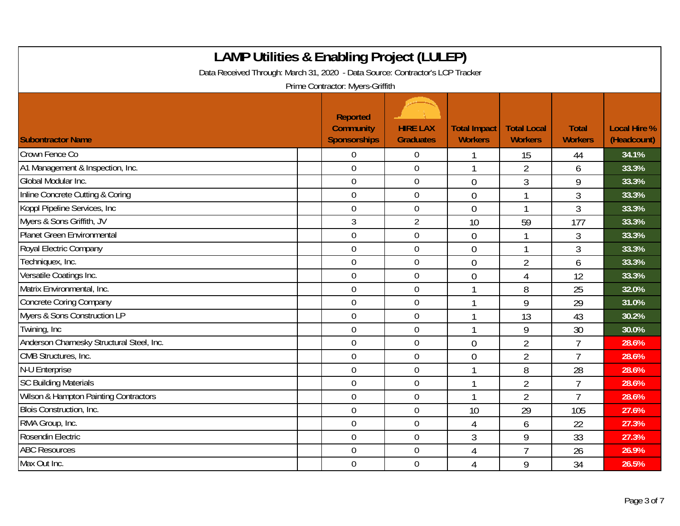| <b>LAMP Utilities &amp; Enabling Project (LULEP)</b><br>Data Received Through: March 31, 2020 - Data Source: Contractor's LCP Tracker<br>Prime Contractor: Myers-Griffith |                                                            |                                     |                                       |                                      |                                |                                    |  |  |
|---------------------------------------------------------------------------------------------------------------------------------------------------------------------------|------------------------------------------------------------|-------------------------------------|---------------------------------------|--------------------------------------|--------------------------------|------------------------------------|--|--|
| <b>Subontractor Name</b>                                                                                                                                                  | <b>Reported</b><br><b>Community</b><br><b>Sponsorships</b> | <b>HIRE LAX</b><br><b>Graduates</b> | <b>Total Impact</b><br><b>Workers</b> | <b>Total Local</b><br><b>Workers</b> | <b>Total</b><br><b>Workers</b> | <b>Local Hire %</b><br>(Headcount) |  |  |
| Crown Fence Co                                                                                                                                                            | $\Omega$                                                   | $\mathbf 0$                         |                                       | 15                                   | 44                             | 34.1%                              |  |  |
| A1 Management & Inspection, Inc.                                                                                                                                          | $\overline{0}$                                             | $\mathbf 0$                         |                                       | $\overline{2}$                       | 6                              | 33.3%                              |  |  |
| Global Modular Inc.                                                                                                                                                       | $\mathbf 0$                                                | $\boldsymbol{0}$                    | $\mathbf 0$                           | 3                                    | 9                              | 33.3%                              |  |  |
| Inline Concrete Cutting & Coring                                                                                                                                          | $\mathbf 0$                                                | $\boldsymbol{0}$                    | $\mathbf 0$                           | 1                                    | 3                              | 33.3%                              |  |  |
| Koppl Pipeline Services, Inc.                                                                                                                                             | $\overline{0}$                                             | $\mathbf 0$                         | $\theta$                              | 1                                    | 3                              | 33.3%                              |  |  |
| Myers & Sons Griffith, JV                                                                                                                                                 | 3                                                          | $\overline{2}$                      | 10                                    | 59                                   | 177                            | 33.3%                              |  |  |
| Planet Green Environmental                                                                                                                                                | $\mathbf 0$                                                | $\mathbf 0$                         | $\mathbf 0$                           |                                      | 3                              | 33.3%                              |  |  |
| Royal Electric Company                                                                                                                                                    | $\mathbf 0$                                                | $\mathbf 0$                         | $\overline{0}$                        | 1                                    | 3                              | 33.3%                              |  |  |
| Techniquex, Inc.                                                                                                                                                          | $\mathbf 0$                                                | $\mathbf 0$                         | $\overline{0}$                        | $\overline{2}$                       | 6                              | 33.3%                              |  |  |
| Versatile Coatings Inc.                                                                                                                                                   | $\mathbf 0$                                                | $\mathbf 0$                         | $\mathbf 0$                           | 4                                    | 12                             | 33.3%                              |  |  |
| Matrix Environmental, Inc.                                                                                                                                                | $\mathbf 0$                                                | $\mathbf 0$                         |                                       | 8                                    | 25                             | 32.0%                              |  |  |
| <b>Concrete Coring Company</b>                                                                                                                                            | $\overline{0}$                                             | $\boldsymbol{0}$                    |                                       | 9                                    | 29                             | 31.0%                              |  |  |
| Myers & Sons Construction LP                                                                                                                                              | $\mathbf 0$                                                | $\mathbf 0$                         |                                       | 13                                   | 43                             | 30.2%                              |  |  |
| Twining, Inc.                                                                                                                                                             | $\overline{0}$                                             | $\mathbf 0$                         |                                       | 9                                    | 30                             | 30.0%                              |  |  |
| Anderson Charnesky Structural Steel, Inc.                                                                                                                                 | $\overline{0}$                                             | $\mathbf 0$                         | $\theta$                              | $\overline{2}$                       | $\overline{1}$                 | 28.6%                              |  |  |
| CMB Structures, Inc.                                                                                                                                                      | $\mathbf 0$                                                | $\boldsymbol{0}$                    | $\mathbf 0$                           | $\overline{2}$                       | $\overline{1}$                 | 28.6%                              |  |  |
| N-U Enterprise                                                                                                                                                            | $\overline{0}$                                             | $\overline{0}$                      |                                       | 8                                    | 28                             | 28.6%                              |  |  |
| <b>SC Building Materials</b>                                                                                                                                              | $\overline{0}$                                             | $\mathbf 0$                         |                                       | $\overline{2}$                       | $\overline{1}$                 | 28.6%                              |  |  |
| <b>Wilson &amp; Hampton Painting Contractors</b>                                                                                                                          | $\mathbf 0$                                                | $\mathbf 0$                         |                                       | $\overline{2}$                       | $\overline{7}$                 | 28.6%                              |  |  |
| Blois Construction, Inc.                                                                                                                                                  | $\overline{0}$                                             | $\mathbf 0$                         | 10                                    | 29                                   | 105                            | 27.6%                              |  |  |
| RMA Group, Inc.                                                                                                                                                           | $\overline{0}$                                             | $\mathbf 0$                         | 4                                     | 6                                    | 22                             | 27.3%                              |  |  |
| Rosendin Electric                                                                                                                                                         | $\mathbf 0$                                                | $\boldsymbol{0}$                    | 3                                     | 9                                    | 33                             | 27.3%                              |  |  |
| <b>ABC Resources</b>                                                                                                                                                      | $\overline{0}$                                             | $\mathbf 0$                         | 4                                     | $\overline{7}$                       | 26                             | 26.9%                              |  |  |
| Max Out Inc.                                                                                                                                                              | $\overline{0}$                                             | $\overline{0}$                      | 4                                     | 9                                    | 34                             | 26.5%                              |  |  |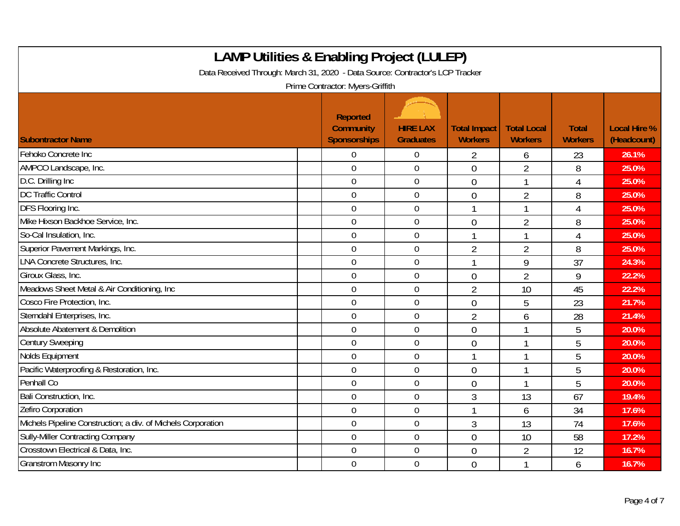| <b>LAMP Utilities &amp; Enabling Project (LULEP)</b><br>Data Received Through: March 31, 2020 - Data Source: Contractor's LCP Tracker<br>Prime Contractor: Myers-Griffith |                                                     |                                     |                                       |                                      |                                |                                    |  |  |
|---------------------------------------------------------------------------------------------------------------------------------------------------------------------------|-----------------------------------------------------|-------------------------------------|---------------------------------------|--------------------------------------|--------------------------------|------------------------------------|--|--|
| <b>Subontractor Name</b>                                                                                                                                                  | Reported<br><b>Community</b><br><b>Sponsorships</b> | <b>HIRE LAX</b><br><b>Graduates</b> | <b>Total Impact</b><br><b>Workers</b> | <b>Total Local</b><br><b>Workers</b> | <b>Total</b><br><b>Workers</b> | <b>Local Hire %</b><br>(Headcount) |  |  |
| Fehoko Concrete Inc                                                                                                                                                       | $\Omega$                                            | $\mathbf 0$                         | 2                                     | 6                                    | 23                             | 26.1%                              |  |  |
| AMPCO Landscape, Inc.                                                                                                                                                     | $\overline{0}$                                      | $\mathbf 0$                         | $\theta$                              | $\overline{2}$                       | 8                              | 25.0%                              |  |  |
| D.C. Drilling Inc                                                                                                                                                         | $\mathbf 0$                                         | $\boldsymbol{0}$                    | $\overline{0}$                        | 1                                    | 4                              | 25.0%                              |  |  |
| <b>DC Traffic Control</b>                                                                                                                                                 | $\overline{0}$                                      | $\overline{0}$                      | $\theta$                              | $\overline{2}$                       | 8                              | 25.0%                              |  |  |
| DFS Flooring Inc.                                                                                                                                                         | $\overline{0}$                                      | $\mathbf 0$                         | $\mathbf{1}$                          |                                      | 4                              | 25.0%                              |  |  |
| Mike Hixson Backhoe Service, Inc.                                                                                                                                         | $\mathbf 0$                                         | $\boldsymbol{0}$                    | $\overline{0}$                        | $\overline{2}$                       | 8                              | 25.0%                              |  |  |
| So-Cal Insulation, Inc.                                                                                                                                                   | $\overline{0}$                                      | $\overline{0}$                      | $\mathbf 1$                           |                                      | 4                              | 25.0%                              |  |  |
| Superior Pavement Markings, Inc.                                                                                                                                          | $\mathbf 0$                                         | $\mathbf 0$                         | $\overline{2}$                        | $\overline{2}$                       | 8                              | 25.0%                              |  |  |
| <b>LNA Concrete Structures, Inc.</b>                                                                                                                                      | $\mathbf 0$                                         | $\boldsymbol{0}$                    | $\mathbf{1}$                          | 9                                    | 37                             | 24.3%                              |  |  |
| Giroux Glass, Inc.                                                                                                                                                        | $\overline{0}$                                      | $\overline{0}$                      | $\overline{0}$                        | $\overline{2}$                       | 9                              | 22.2%                              |  |  |
| Meadows Sheet Metal & Air Conditioning, Inc                                                                                                                               | $\mathbf 0$                                         | $\mathbf 0$                         | $\overline{2}$                        | 10                                   | 45                             | 22.2%                              |  |  |
| Cosco Fire Protection, Inc.                                                                                                                                               | $\mathbf 0$                                         | $\mathbf 0$                         | $\overline{0}$                        | 5                                    | 23                             | 21.7%                              |  |  |
| Sterndahl Enterprises, Inc.                                                                                                                                               | $\overline{0}$                                      | $\overline{0}$                      | $\overline{2}$                        | 6                                    | 28                             | 21.4%                              |  |  |
| Absolute Abatement & Demolition                                                                                                                                           | $\mathbf 0$                                         | $\mathbf 0$                         | $\overline{0}$                        |                                      | 5                              | 20.0%                              |  |  |
| <b>Century Sweeping</b>                                                                                                                                                   | $\mathbf 0$                                         | $\boldsymbol{0}$                    | $\overline{0}$                        | 1                                    | 5                              | 20.0%                              |  |  |
| Nolds Equipment                                                                                                                                                           | $\overline{0}$                                      | $\boldsymbol{0}$                    | $\mathbf{1}$                          |                                      | 5                              | 20.0%                              |  |  |
| Pacific Waterproofing & Restoration, Inc.                                                                                                                                 | $\overline{0}$                                      | $\mathbf 0$                         | $\overline{0}$                        | 1                                    | 5                              | 20.0%                              |  |  |
| Penhall Co                                                                                                                                                                | $\mathbf 0$                                         | $\mathbf 0$                         | $\theta$                              | 1                                    | 5                              | 20.0%                              |  |  |
| Bali Construction, Inc.                                                                                                                                                   | $\overline{0}$                                      | $\overline{0}$                      | 3                                     | 13                                   | 67                             | 19.4%                              |  |  |
| Zefiro Corporation                                                                                                                                                        | $\mathbf 0$                                         | $\mathbf 0$                         |                                       | 6                                    | 34                             | 17.6%                              |  |  |
| Michels Pipeline Construction; a div. of Michels Corporation                                                                                                              | $\mathbf 0$                                         | $\mathbf 0$                         | 3                                     | 13                                   | 74                             | 17.6%                              |  |  |
| Sully-Miller Contracting Company                                                                                                                                          | $\mathbf 0$                                         | $\overline{0}$                      | $\overline{0}$                        | 10                                   | 58                             | 17.2%                              |  |  |
| Crosstown Electrical & Data, Inc.                                                                                                                                         | $\mathbf 0$                                         | $\mathbf 0$                         | $\overline{0}$                        | $\overline{2}$                       | 12                             | 16.7%                              |  |  |
| <b>Granstrom Masonry Inc</b>                                                                                                                                              | $\overline{0}$                                      | $\mathbf 0$                         | $\overline{0}$                        |                                      | 6                              | 16.7%                              |  |  |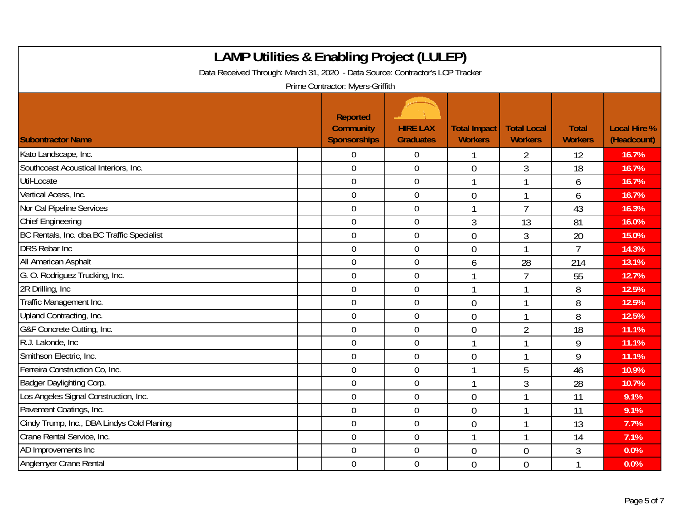| <b>LAMP Utilities &amp; Enabling Project (LULEP)</b><br>Data Received Through: March 31, 2020 - Data Source: Contractor's LCP Tracker<br>Prime Contractor: Myers-Griffith |                                                     |                                     |                                       |                                      |                                |                                    |  |  |
|---------------------------------------------------------------------------------------------------------------------------------------------------------------------------|-----------------------------------------------------|-------------------------------------|---------------------------------------|--------------------------------------|--------------------------------|------------------------------------|--|--|
| <b>Subontractor Name</b>                                                                                                                                                  | Reported<br><b>Community</b><br><b>Sponsorships</b> | <b>HIRE LAX</b><br><b>Graduates</b> | <b>Total Impact</b><br><b>Workers</b> | <b>Total Local</b><br><b>Workers</b> | <b>Total</b><br><b>Workers</b> | <b>Local Hire %</b><br>(Headcount) |  |  |
| Kato Landscape, Inc.                                                                                                                                                      | $\overline{0}$                                      | $\mathbf 0$                         | 1                                     | 2                                    | 12                             | 16.7%                              |  |  |
| Southcoast Acoustical Interiors, Inc.                                                                                                                                     | $\overline{0}$                                      | $\overline{0}$                      | $\theta$                              | 3                                    | 18                             | 16.7%                              |  |  |
| Util-Locate                                                                                                                                                               | $\mathbf 0$                                         | $\boldsymbol{0}$                    | $\mathbf{1}$                          | 1                                    | 6                              | 16.7%                              |  |  |
| Vertical Acess, Inc.                                                                                                                                                      | $\overline{0}$                                      | $\overline{0}$                      | $\overline{0}$                        | $\mathbf 1$                          | 6                              | 16.7%                              |  |  |
| Nor Cal Pipeline Services                                                                                                                                                 | $\overline{0}$                                      | $\overline{0}$                      | 1                                     | $\overline{7}$                       | 43                             | 16.3%                              |  |  |
| <b>Chief Engineering</b>                                                                                                                                                  | $\overline{0}$                                      | $\boldsymbol{0}$                    | $\mathfrak{Z}$                        | 13                                   | 81                             | 16.0%                              |  |  |
| BC Rentals, Inc. dba BC Traffic Specialist                                                                                                                                | $\overline{0}$                                      | $\overline{0}$                      | $\theta$                              | 3                                    | 20                             | 15.0%                              |  |  |
| <b>DRS Rebar Inc</b>                                                                                                                                                      | $\mathbf 0$                                         | $\mathbf 0$                         | $\mathbf{0}$                          |                                      | $\overline{7}$                 | 14.3%                              |  |  |
| All American Asphalt                                                                                                                                                      | $\mathbf 0$                                         | $\boldsymbol{0}$                    | 6                                     | 28                                   | 214                            | 13.1%                              |  |  |
| G. O. Rodriguez Trucking, Inc.                                                                                                                                            | $\mathbf 0$                                         | $\overline{0}$                      | $\mathbf{1}$                          | $\overline{7}$                       | 55                             | 12.7%                              |  |  |
| 2R Drilling, Inc.                                                                                                                                                         | $\mathbf 0$                                         | $\mathbf 0$                         |                                       |                                      | 8                              | 12.5%                              |  |  |
| Traffic Management Inc.                                                                                                                                                   | $\mathbf 0$                                         | $\mathbf 0$                         | $\overline{0}$                        | 1                                    | 8                              | 12.5%                              |  |  |
| Upland Contracting, Inc.                                                                                                                                                  | $\overline{0}$                                      | $\overline{0}$                      | $\mathbf{0}$                          | $\overline{1}$                       | 8                              | 12.5%                              |  |  |
| G&F Concrete Cutting, Inc.                                                                                                                                                | $\mathbf 0$                                         | $\mathbf 0$                         | $\overline{0}$                        | $\overline{2}$                       | 18                             | 11.1%                              |  |  |
| R.J. Lalonde, Inc.                                                                                                                                                        | $\mathbf 0$                                         | $\boldsymbol{0}$                    | $\mathbf{1}$                          | 1                                    | 9                              | 11.1%                              |  |  |
| Smithson Electric, Inc.                                                                                                                                                   | $\boldsymbol{0}$                                    | $\boldsymbol{0}$                    | $\mathbf 0$                           | $\overline{1}$                       | 9                              | 11.1%                              |  |  |
| Ferreira Construction Co, Inc.                                                                                                                                            | $\overline{0}$                                      | $\mathbf 0$                         | 1                                     | 5                                    | 46                             | 10.9%                              |  |  |
| Badger Daylighting Corp.                                                                                                                                                  | $\mathbf 0$                                         | $\mathbf 0$                         | $\mathbf{1}$                          | 3                                    | 28                             | 10.7%                              |  |  |
| Los Angeles Signal Construction, Inc.                                                                                                                                     | $\overline{0}$                                      | $\overline{0}$                      | $\mathbf{0}$                          |                                      | 11                             | 9.1%                               |  |  |
| Pavement Coatings, Inc.                                                                                                                                                   | $\mathbf 0$                                         | $\mathbf 0$                         | $\overline{0}$                        |                                      | 11                             | 9.1%                               |  |  |
| Cindy Trump, Inc., DBA Lindys Cold Planing                                                                                                                                | $\mathbf 0$                                         | $\mathbf 0$                         | $\overline{0}$                        |                                      | 13                             | 7.7%                               |  |  |
| Crane Rental Service, Inc.                                                                                                                                                | $\mathbf 0$                                         | $\mathbf 0$                         | $\mathbf{1}$                          | $\overline{1}$                       | 14                             | 7.1%                               |  |  |
| AD Improvements Inc                                                                                                                                                       | $\mathbf 0$                                         | $\boldsymbol{0}$                    | $\overline{0}$                        | $\overline{0}$                       | 3                              | 0.0%                               |  |  |
| Anglemyer Crane Rental                                                                                                                                                    | $\overline{0}$                                      | $\mathbf 0$                         | $\overline{0}$                        | $\overline{0}$                       | 1                              | 0.0%                               |  |  |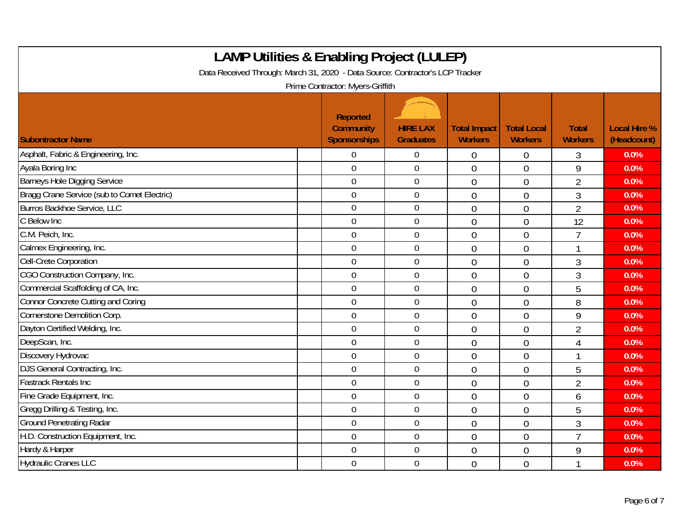| <b>LAMP Utilities &amp; Enabling Project (LULEP)</b><br>Data Received Through: March 31, 2020 - Data Source: Contractor's LCP Tracker<br>Prime Contractor: Myers-Griffith |                                                     |                                     |                                       |                                      |                                |                                    |  |  |
|---------------------------------------------------------------------------------------------------------------------------------------------------------------------------|-----------------------------------------------------|-------------------------------------|---------------------------------------|--------------------------------------|--------------------------------|------------------------------------|--|--|
| <b>Subontractor Name</b>                                                                                                                                                  | Reported<br><b>Community</b><br><b>Sponsorships</b> | <b>HIRE LAX</b><br><b>Graduates</b> | <b>Total Impact</b><br><b>Workers</b> | <b>Total Local</b><br><b>Workers</b> | <b>Total</b><br><b>Workers</b> | <b>Local Hire %</b><br>(Headcount) |  |  |
| Asphalt, Fabric & Engineering, Inc.                                                                                                                                       | $\overline{0}$                                      | $\overline{0}$                      | $\overline{0}$                        | $\overline{0}$                       | 3                              | 0.0%                               |  |  |
| Ayala Boring Inc                                                                                                                                                          | $\overline{0}$                                      | $\mathbf 0$                         | $\overline{0}$                        | $\overline{0}$                       | 9                              | 0.0%                               |  |  |
| Barneys Hole Digging Service                                                                                                                                              | $\overline{0}$                                      | $\boldsymbol{0}$                    | $\overline{0}$                        | $\overline{0}$                       | $\overline{2}$                 | 0.0%                               |  |  |
| Bragg Crane Service (sub to Comet Electric)                                                                                                                               | $\boldsymbol{0}$                                    | $\boldsymbol{0}$                    | $\overline{0}$                        | $\mathbf 0$                          | 3                              | 0.0%                               |  |  |
| <b>Burros Backhoe Service, LLC</b>                                                                                                                                        | $\overline{0}$                                      | $\overline{0}$                      | $\overline{0}$                        | $\overline{0}$                       | $\overline{2}$                 | 0.0%                               |  |  |
| C Below Inc                                                                                                                                                               | $\mathbf 0$                                         | $\boldsymbol{0}$                    | $\overline{0}$                        | $\overline{0}$                       | 12                             | 0.0%                               |  |  |
| C.M. Peich, Inc.                                                                                                                                                          | $\mathbf 0$                                         | $\mathbf 0$                         | $\overline{0}$                        | $\overline{0}$                       | $\overline{7}$                 | 0.0%                               |  |  |
| Calmex Engineering, Inc.                                                                                                                                                  | $\mathbf 0$                                         | $\mathbf 0$                         | $\overline{0}$                        | $\theta$                             |                                | 0.0%                               |  |  |
| Cell-Crete Corporation                                                                                                                                                    | $\mathbf 0$                                         | $\overline{0}$                      | $\overline{0}$                        | $\theta$                             | 3                              | 0.0%                               |  |  |
| CGO Construction Company, Inc.                                                                                                                                            | $\boldsymbol{0}$                                    | $\boldsymbol{0}$                    | $\overline{0}$                        | $\mathbf 0$                          | 3                              | 0.0%                               |  |  |
| Commercial Scaffolding of CA, Inc.                                                                                                                                        | $\overline{0}$                                      | $\mathbf 0$                         | $\overline{0}$                        | $\overline{0}$                       | 5                              | 0.0%                               |  |  |
| <b>Connor Concrete Cutting and Coring</b>                                                                                                                                 | $\overline{0}$                                      | $\mathbf 0$                         | $\overline{0}$                        | $\overline{0}$                       | 8                              | 0.0%                               |  |  |
| Cornerstone Demolition Corp.                                                                                                                                              | $\mathbf 0$                                         | $\mathbf 0$                         | $\overline{0}$                        | $\overline{0}$                       | 9                              | 0.0%                               |  |  |
| Dayton Certified Welding, Inc.                                                                                                                                            | $\overline{0}$                                      | $\boldsymbol{0}$                    | $\overline{0}$                        | $\overline{0}$                       | $\overline{2}$                 | 0.0%                               |  |  |
| DeepScan, Inc.                                                                                                                                                            | $\mathbf 0$                                         | $\boldsymbol{0}$                    | $\overline{0}$                        | $\overline{0}$                       | 4                              | 0.0%                               |  |  |
| Discovery Hydrovac                                                                                                                                                        | $\overline{0}$                                      | $\mathbf 0$                         | $\overline{0}$                        | $\overline{0}$                       | -1                             | 0.0%                               |  |  |
| DJS General Contracting, Inc.                                                                                                                                             | $\overline{0}$                                      | $\mathbf 0$                         | $\overline{0}$                        | $\overline{0}$                       | 5                              | 0.0%                               |  |  |
| <b>Fastrack Rentals Inc</b>                                                                                                                                               | $\overline{0}$                                      | $\mathbf 0$                         | $\overline{0}$                        | $\overline{0}$                       | $\overline{2}$                 | 0.0%                               |  |  |
| Fine Grade Equipment, Inc.                                                                                                                                                | $\mathbf 0$                                         | $\mathbf 0$                         | $\overline{0}$                        | $\overline{0}$                       | 6                              | 0.0%                               |  |  |
| Gregg Drilling & Testing, Inc.                                                                                                                                            | $\theta$                                            | $\boldsymbol{0}$                    | $\overline{0}$                        | $\overline{0}$                       | 5                              | 0.0%                               |  |  |
| <b>Ground Penetrating Radar</b>                                                                                                                                           | $\theta$                                            | $\mathbf 0$                         | $\overline{0}$                        | $\overline{0}$                       | 3                              | 0.0%                               |  |  |
| H.D. Construction Equipment, Inc.                                                                                                                                         | $\mathbf 0$                                         | $\mathbf 0$                         | $\overline{0}$                        | $\overline{0}$                       | $\overline{7}$                 | 0.0%                               |  |  |
| Hardy & Harper                                                                                                                                                            | $\overline{0}$                                      | $\boldsymbol{0}$                    | $\overline{0}$                        | $\theta$                             | 9                              | 0.0%                               |  |  |
| <b>Hydraulic Cranes LLC</b>                                                                                                                                               | $\overline{0}$                                      | $\mathbf 0$                         | $\overline{0}$                        | $\overline{0}$                       |                                | 0.0%                               |  |  |